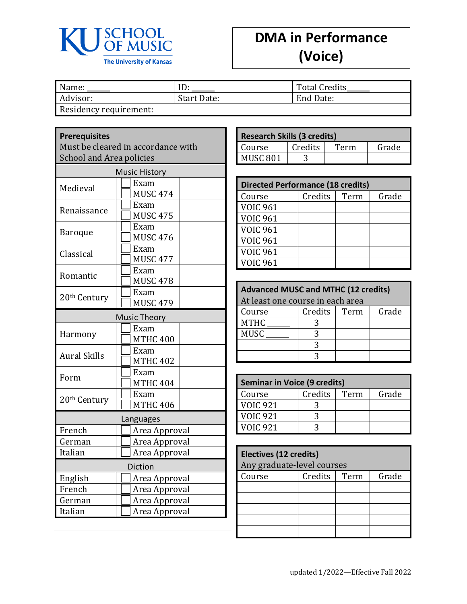

## **DMA in Performance (Voice)**

| Name:                  |             | <b>Total Credits</b> |
|------------------------|-------------|----------------------|
| Advisor:               | Start Date: | End Date:            |
| Residency requirement: |             |                      |

## **Prerequisites**

Must be cleared in accordance with School and Area policies

| <b>Music History</b>     |                         |  |  |  |  |
|--------------------------|-------------------------|--|--|--|--|
| Medieval                 | Exam<br><b>MUSC 474</b> |  |  |  |  |
| Renaissance              | Exam<br><b>MUSC 475</b> |  |  |  |  |
| <b>Baroque</b>           | Exam<br><b>MUSC 476</b> |  |  |  |  |
| Classical                | Exam<br><b>MUSC 477</b> |  |  |  |  |
| Romantic                 | Exam<br><b>MUSC 478</b> |  |  |  |  |
| 20 <sup>th</sup> Century | Exam<br><b>MUSC 479</b> |  |  |  |  |
| <b>Music Theory</b>      |                         |  |  |  |  |
| Harmony                  | Exam<br><b>MTHC 400</b> |  |  |  |  |
| <b>Aural Skills</b>      | Exam<br><b>MTHC 402</b> |  |  |  |  |
| Form                     | Exam<br><b>MTHC 404</b> |  |  |  |  |
| 20 <sup>th</sup> Century | Exam<br><b>MTHC 406</b> |  |  |  |  |
|                          | Languages               |  |  |  |  |
| French                   | Area Approval           |  |  |  |  |
| German                   | Area Approval           |  |  |  |  |
| Italian<br>Area Approval |                         |  |  |  |  |
|                          | Diction                 |  |  |  |  |
| English                  | Area Approval           |  |  |  |  |
| French                   | Area Approval           |  |  |  |  |
| German                   | Area Approval           |  |  |  |  |
| Italian                  | Area Approval           |  |  |  |  |

| <b>Research Skills (3 credits)</b> |  |  |  |  |
|------------------------------------|--|--|--|--|
| Credits<br>Grade<br>Term<br>Course |  |  |  |  |
| MUSC 801                           |  |  |  |  |

| <b>Directed Performance (18 credits)</b> |         |      |       |  |
|------------------------------------------|---------|------|-------|--|
| Course                                   | Credits | Term | Grade |  |
| <b>VOIC 961</b>                          |         |      |       |  |
| <b>VOIC 961</b>                          |         |      |       |  |
| <b>VOIC 961</b>                          |         |      |       |  |
| <b>VOIC 961</b>                          |         |      |       |  |
| <b>VOIC 961</b>                          |         |      |       |  |
| <b>VOIC 961</b>                          |         |      |       |  |

| <b>Advanced MUSC and MTHC (12 credits)</b> |                                  |  |  |  |  |  |
|--------------------------------------------|----------------------------------|--|--|--|--|--|
|                                            | At least one course in each area |  |  |  |  |  |
| Credits<br>Grade<br>Term<br>Course         |                                  |  |  |  |  |  |
| <b>MTHC</b>                                |                                  |  |  |  |  |  |
| <b>MUSC</b>                                |                                  |  |  |  |  |  |
| 3                                          |                                  |  |  |  |  |  |
|                                            |                                  |  |  |  |  |  |

| <b>Seminar in Voice (9 credits)</b> |  |  |  |  |
|-------------------------------------|--|--|--|--|
| Credits<br>Grade<br>Term<br>Course  |  |  |  |  |
| <b>VOIC 921</b>                     |  |  |  |  |
| <b>VOIC 921</b>                     |  |  |  |  |
| VOIC 921                            |  |  |  |  |

| Electives (12 credits)<br>Any graduate-level courses |                          |  |  |  |  |  |
|------------------------------------------------------|--------------------------|--|--|--|--|--|
| Course                                               | Credits<br>Term<br>Grade |  |  |  |  |  |
|                                                      |                          |  |  |  |  |  |
|                                                      |                          |  |  |  |  |  |
|                                                      |                          |  |  |  |  |  |
|                                                      |                          |  |  |  |  |  |
|                                                      |                          |  |  |  |  |  |